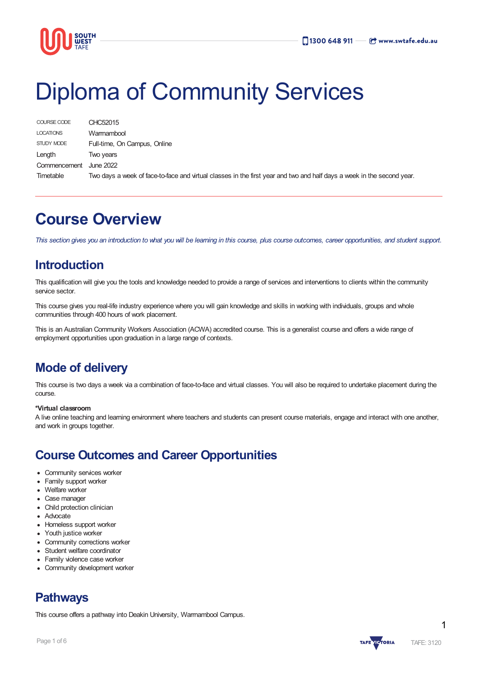

# Diploma of Community Services

| COURSE CODE      | CHC52015                                                                                                               |
|------------------|------------------------------------------------------------------------------------------------------------------------|
| <b>LOCATIONS</b> | Warrnambool                                                                                                            |
| STUDY MODE       | Full-time, On Campus, Online                                                                                           |
| Length           | Two vears                                                                                                              |
| Commencement     | June 2022                                                                                                              |
| Timetable        | Two days a week of face-to-face and virtual classes in the first year and two and half days a week in the second year. |

## **Course Overview**

This section gives you an introduction to what you will be learning in this course, plus course outcomes, career opportunities, and student support.

### **Introduction**

This qualification will give you the tools and knowledge needed to provide a range of services and interventions to clients within the community service sector.

This course gives you real-life industry experience where you will gain knowledge and skills in working with individuals, groups and whole communities through 400 hours of work placement.

This is an Australian Community Workers Association (ACWA) accredited course. This is a generalist course and offers a wide range of employment opportunities upon graduation in a large range of contexts.

### **Mode of delivery**

This course is two days a week via a combination of face-to-face and virtual classes. You will also be required to undertake placement during the course.

#### **\*Virtual classroom**

A live online teaching and learning environment where teachers and students can present course materials, engage and interact with one another, and work in groups together.

### **Course Outcomes and Career Opportunities**

- Community services worker
- Family support worker
- Welfare worker
- **Case manager**
- Child protection clinician
- Advocate
- Homeless support worker
- Youth justice worker
- Community corrections worker
- Student welfare coordinator
- Family violence case worker
- Community development worker

### **Pathways**

This course offers a pathway into Deakin University, Warrnambool Campus.



1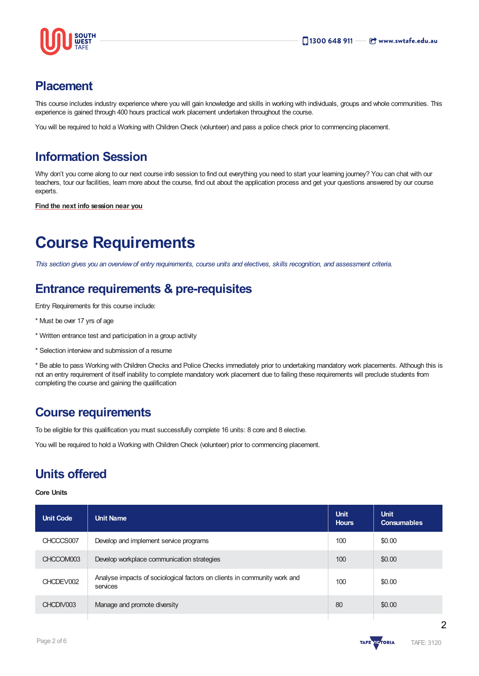

### **Placement**

This course includes industry experience where you will gain knowledge and skills in working with individuals, groups and whole communities. This experience is gained through 400 hours practical work placement undertaken throughout the course.

You will be required to hold a Working with Children Check (volunteer) and pass a police check prior to commencing placement.

### **Information Session**

Why don't you come along to our next course info session to find out everything you need to start your learning journey? You can chat with our teachers, tour our facilities, learn more about the course, find out about the application process and get your questions answered by our course experts.

**Find the next info [session](https://www.swtafe.edu.au/information-sessions) near you**

# **Course Requirements**

This section gives you an overview of entry requirements, course units and electives, skills recognition, and assessment criteria.

### **Entrance requirements & pre-requisites**

Entry Requirements for this course include:

- \* Must be over 17 yrs of age
- \* Written entrance test and participation in a group activity
- \* Selection interview and submission of a resume

\* Be able to pass Working with Children Checks and Police Checks immediately prior to undertaking mandatory work placements. Although this is not an entry requirement of itself inability to complete mandatory work placement due to failing these requirements will preclude students from completing the course and gaining the qualification

### **Course requirements**

To be eligible for this qualification you must successfully complete 16 units: 8 core and 8 elective.

You will be required to hold a Working with Children Check (volunteer) prior to commencing placement.

### **Units offered**

#### **Core Units**

| Unit Code | <b>Unit Name</b>                                                                     | <b>Unit</b><br><b>Hours</b> | <b>Unit</b><br><b>Consumables</b> |
|-----------|--------------------------------------------------------------------------------------|-----------------------------|-----------------------------------|
| CHCCCS007 | Develop and implement service programs                                               | 100                         | \$0.00                            |
| CHCCOM003 | Develop workplace communication strategies                                           | 100                         | \$0.00                            |
| CHCDEV002 | Analyse impacts of sociological factors on clients in community work and<br>services | 100                         | \$0.00                            |
| CHCDIV003 | Manage and promote diversity                                                         | 80                          | \$0.00                            |

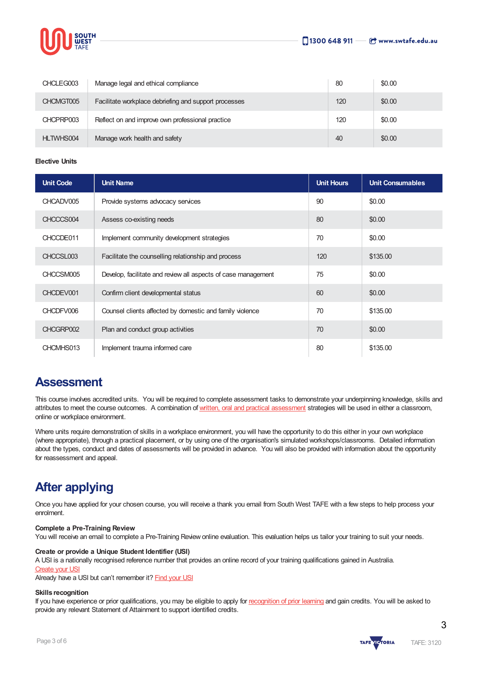

| CHCLEG003 | Manage legal and ethical compliance                   | 80  | \$0.00 |
|-----------|-------------------------------------------------------|-----|--------|
| CHCMGT005 | Facilitate workplace debriefing and support processes | 120 | \$0.00 |
| CHCPRP003 | Reflect on and improve own professional practice      | 120 | \$0.00 |
| HLTWHS004 | Manage work health and safety                         | 40  | \$0.00 |

**Elective Units**

| <b>Unit Code</b> | <b>Unit Name</b>                                              | <b>Unit Hours</b> | <b>Unit Consumables</b> |
|------------------|---------------------------------------------------------------|-------------------|-------------------------|
| CHCADV005        | Provide systems advocacy services                             | 90                | \$0.00                  |
| CHCCCS004        | Assess co-existing needs                                      | 80                | \$0.00                  |
| CHCCDE011        | Implement community development strategies                    | 70                | \$0.00                  |
| CHCCSL003        | Facilitate the counselling relationship and process           | 120               | \$135.00                |
| CHCCSM005        | Develop, facilitate and review all aspects of case management | 75                | \$0.00                  |
| CHCDEV001        | Confirm client developmental status                           | 60                | \$0.00                  |
| CHCDFV006        | Counsel clients affected by domestic and family violence      | 70                | \$135.00                |
| CHCGRP002        | Plan and conduct group activities                             | 70                | \$0.00                  |
| CHCMHS013        | Implement trauma informed care                                | 80                | \$135.00                |

### **Assessment**

This course involves accredited units. You will be required to complete assessment tasks to demonstrate your underpinning knowledge, skills and attributes to meet the course outcomes. A combination of written, oral and practical [assessment](https://www.swtafe.edu.au/courses/vcal-general-education) strategies will be used in either a classroom, online or workplace environment.

Where units require demonstration of skills in a workplace environment, you will have the opportunity to do this either in your own workplace (where appropriate), through a practical placement, or by using one of the organisation's simulated workshops/classrooms. Detailed information about the types, conduct and dates of assessments will be provided in advance. You will also be provided with information about the opportunity for reassessment and appeal.

### **After applying**

Once you have applied for your chosen course, you will receive a thank you email from South West TAFE with a few steps to help process your enrolment.

#### **Complete a Pre-Training Review**

You will receive an email to complete a Pre-Training Review online evaluation. This evaluation helps us tailor your training to suit your needs.

#### **Create or provide a Unique Student Identifier (USI)**

A USI is a nationally recognised reference number that provides an online record of your training qualifications gained in Australia.

#### **[Create](https://www.usi.gov.au/students/create-usi) your USI**

Already have a USI but can't remember it? [Find](https://www.usi.gov.au/faqs/i-have-forgotten-my-usi) your USI

#### **Skills recognition**

If you have experience or prior qualifications, you may be eligible to apply for [recognition](https://www.swtafe.edu.au/study/how-to-apply/skills-recognition) of prior learning and gain credits. You will be asked to provide any relevant Statement of Attainment to support identified credits.



3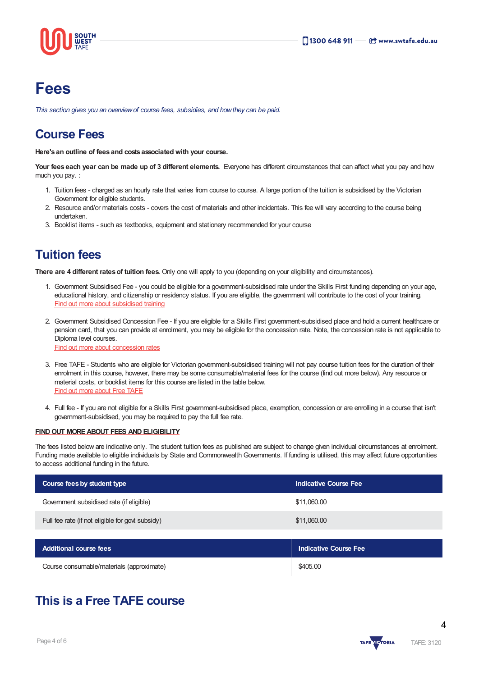

# **Fees**

*This section gives you an overviewof course fees, subsidies, and howthey can be paid.*

### **Course Fees**

**Here's an outline of fees and costs associated with your course.**

**Your fees each year can be made up of 3 different elements.** Everyone has different circumstances that can affect what you pay and how much you pay. :

- 1. Tuition fees charged as an hourly rate that varies from course to course. A large portion of the tuition is subsidised by the Victorian Government for eligible students.
- 2. Resource and/or materials costs covers the cost of materials and other incidentals. This fee will vary according to the course being undertaken.
- 3. Booklist items such as textbooks, equipment and stationery recommended for your course

### **Tuition fees**

**There are 4 different ratesof tuition fees.** Only one will apply to you (depending on your eligibility and circumstances).

- 1. Government Subsidised Fee you could be eligible for a government-subsidised rate under the Skills First funding depending on your age, educational history, and citizenship or residency status. If you are eligible, the government will contribute to the cost of your training. Find out more about [subsidised](https://www.swtafe.edu.au/study/fees-free-tafe/access-govt-subsidies/victorian-students) training
- 2. Government Subsidised Concession Fee If you are eligible for a Skills First government-subsidised place and hold a current healthcare or pension card, that you can provide at enrolment, you may be eligible for the concession rate. Note, the concession rate is not applicable to Diploma level courses. Find out more about [concession](https://www.swtafe.edu.au/study/fees-free-tafe/concession) rates
- 3. Free TAFE Students who are eligible for Victorian government-subsidised training will not pay course tuition fees for the duration of their enrolment in this course, however, there may be some consumable/material fees for the course (find out more below). Any resource or material costs, or booklist items for this course are listed in the table below. Find out more [about](https://www.swtafe.edu.au/courses/free-tafe-courses) Free TAFE
- 4. Full fee If you are not eligible for a Skills First government-subsidised place, exemption, concession or are enrolling in a course that isn't government-subsidised, you may be required to pay the full fee rate.

#### **FINDOUT [MOREABOUT](https://www.swtafe.edu.au/study/fees-free-tafe) FEES AND ELIGIBILITY**

The fees listed below are indicative only. The student tuition fees as published are subject to change given individual circumstances at enrolment. Funding made available to eligible individuals by State and Commonwealth Governments. If funding is utilised, this may affect future opportunities to access additional funding in the future.

| Course fees by student type                      | <b>Indicative Course Fee</b> |
|--------------------------------------------------|------------------------------|
| Government subsidised rate (if eligible)         | \$11,060.00                  |
| Full fee rate (if not eligible for govt subsidy) | \$11,060.00                  |

| <b>Additional course fees</b>             | Indicative Course Fee |
|-------------------------------------------|-----------------------|
| Course consumable/materials (approximate) | \$405.00              |

### **This is a Free TAFE course**

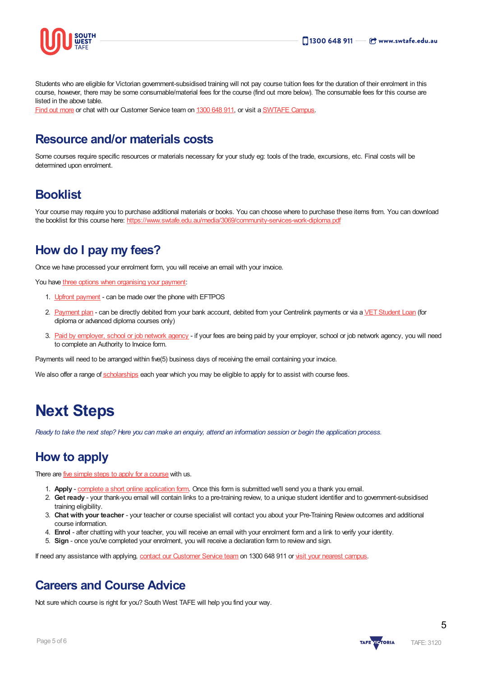

Students who are eligible for Victorian government-subsidised training will not pay course tuition fees for the duration of their enrolment in this course, however, there may be some consumable/material fees for the course (find out more below). The consumable fees for this course are listed in the above table.

Find out [more](https://www.swtafe.edu.au/courses/free-tafe-courses) or chat with our Customer Service team on [1300](https://www.swtafe.edu.au/about-us/contact-us) 648 911, or visit a [SWTAFE](https://www.swtafe.edu.au/about-us/contact-us) Campus.

### **Resource and/or materials costs**

Some courses require specific resources or materials necessary for your study eg: tools of the trade, excursions, etc. Final costs will be determined upon enrolment.

### **Booklist**

Your course may require you to purchase additional materials or books. You can choose where to purchase these items from. You can download the booklist for this course here: <https://www.swtafe.edu.au/media/3069/community-services-work-diploma.pdf>

### **How do I pay my fees?**

Once we have processed your enrolment form, you will receive an email with your invoice.

You have three options when [organising](https://www.swtafe.edu.au/study/fees-free-tafe/payment-options) your payment:

- 1. Upfront [payment](https://www.swtafe.edu.au/study/fees-free-tafe/payment-options) can be made over the phone with EFTPOS
- 2. [Payment](https://www.swtafe.edu.au/study/fees-free-tafe/payment-options) plan can be directly debited from your bank account, debited from your Centrelink payments or via a VET Student Loan (for diploma or advanced diploma courses only)
- 3. Paid by [employer,](https://www.swtafe.edu.au/study/fees-free-tafe/payment-options) school or job network agency if your fees are being paid by your employer, school or job network agency, you will need to complete an Authority to Invoice form.

Payments will need to be arranged within five(5) business days of receiving the email containing your invoice.

We also offer a range of [scholarships](https://www.swtafe.edu.au/study/scholarships) each year which you may be eligible to apply for to assist with course fees.

# **Next Steps**

Ready to take the next step? Here you can make an enquiry, attend an information session or begin the application process.

### **How to apply**

There are five [simple](https://www.swtafe.edu.au/study/how-to-apply) steps to apply for a course with us.

- 1. **Apply** complete a short online [application](https://www.swtafe.edu.au/apply-now) form. Once this form is submitted we'll send you a thank you email.
- 2. **Get ready** your thank-you email will contain links to a pre-training review, to a unique student identifier and to government-subsidised training eligibility.
- 3. **Chat with your teacher** your teacher or course specialist will contact you about your Pre-Training Review outcomes and additional course information.
- 4. **Enrol** after chatting with your teacher, you will receive an email with your enrolment form and a link to verify your identity.
- 5. **Sign** once you've completed your enrolment, you will receive a declaration form to review and sign.

If need any assistance with applying, contact our [Customer](https://www.swtafe.edu.au/about-us/contact-us) Service team on 1300 648 911 or visit your nearest [campus](https://www.swtafe.edu.au/about-us/our-campuses).

### **Careers and Course Advice**

Not sure which course is right for you? South West TAFE will help you find your way.